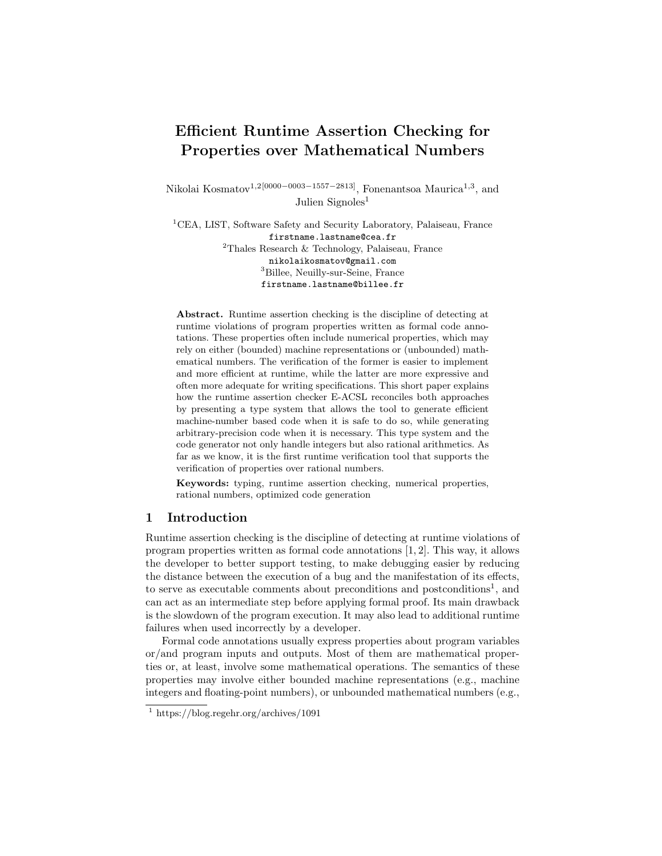# Efficient Runtime Assertion Checking for Properties over Mathematical Numbers

Nikolai Kosmatov<sup>1,2[0000–0003–1557–2813]</sup>, Fonenantsoa Maurica<sup>1,3</sup>, and Julien Signoles<sup>1</sup>

<sup>1</sup>CEA, LIST, Software Safety and Security Laboratory, Palaiseau, France firstname.lastname@cea.fr  $2$ Thales Research & Technology, Palaiseau, France nikolaikosmatov@gmail.com <sup>3</sup>Billee, Neuilly-sur-Seine, France firstname.lastname@billee.fr

Abstract. Runtime assertion checking is the discipline of detecting at runtime violations of program properties written as formal code annotations. These properties often include numerical properties, which may rely on either (bounded) machine representations or (unbounded) mathematical numbers. The verification of the former is easier to implement and more efficient at runtime, while the latter are more expressive and often more adequate for writing specifications. This short paper explains how the runtime assertion checker E-ACSL reconciles both approaches by presenting a type system that allows the tool to generate efficient machine-number based code when it is safe to do so, while generating arbitrary-precision code when it is necessary. This type system and the code generator not only handle integers but also rational arithmetics. As far as we know, it is the first runtime verification tool that supports the verification of properties over rational numbers.

Keywords: typing, runtime assertion checking, numerical properties, rational numbers, optimized code generation

#### 1 Introduction

Runtime assertion checking is the discipline of detecting at runtime violations of program properties written as formal code annotations [1, 2]. This way, it allows the developer to better support testing, to make debugging easier by reducing the distance between the execution of a bug and the manifestation of its effects, to serve as executable comments about preconditions and postconditions<sup>1</sup>, and can act as an intermediate step before applying formal proof. Its main drawback is the slowdown of the program execution. It may also lead to additional runtime failures when used incorrectly by a developer.

Formal code annotations usually express properties about program variables or/and program inputs and outputs. Most of them are mathematical properties or, at least, involve some mathematical operations. The semantics of these properties may involve either bounded machine representations (e.g., machine integers and floating-point numbers), or unbounded mathematical numbers (e.g.,

<sup>&</sup>lt;sup>1</sup> https://blog.regehr.org/archives/1091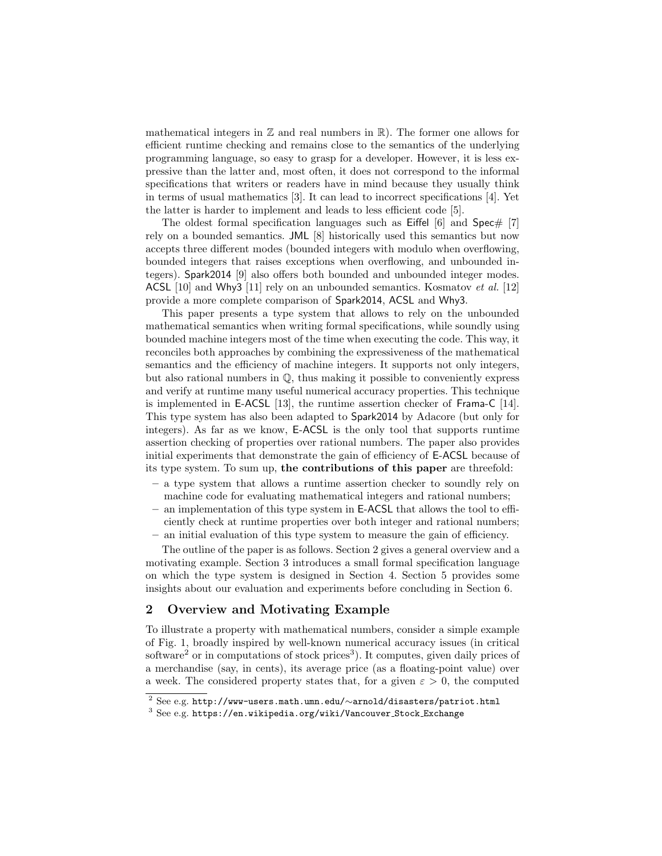mathematical integers in  $\mathbb Z$  and real numbers in  $\mathbb R$ ). The former one allows for efficient runtime checking and remains close to the semantics of the underlying programming language, so easy to grasp for a developer. However, it is less expressive than the latter and, most often, it does not correspond to the informal specifications that writers or readers have in mind because they usually think in terms of usual mathematics [3]. It can lead to incorrect specifications [4]. Yet the latter is harder to implement and leads to less efficient code [5].

The oldest formal specification languages such as Eiffel [6] and  $Spec \#$  [7] rely on a bounded semantics. JML [8] historically used this semantics but now accepts three different modes (bounded integers with modulo when overflowing, bounded integers that raises exceptions when overflowing, and unbounded integers). Spark2014 [9] also offers both bounded and unbounded integer modes. ACSL  $[10]$  and Why3  $[11]$  rely on an unbounded semantics. Kosmatov *et al.*  $[12]$ provide a more complete comparison of Spark2014, ACSL and Why3.

This paper presents a type system that allows to rely on the unbounded mathematical semantics when writing formal specifications, while soundly using bounded machine integers most of the time when executing the code. This way, it reconciles both approaches by combining the expressiveness of the mathematical semantics and the efficiency of machine integers. It supports not only integers, but also rational numbers in Q, thus making it possible to conveniently express and verify at runtime many useful numerical accuracy properties. This technique is implemented in E-ACSL [13], the runtime assertion checker of Frama-C [14]. This type system has also been adapted to Spark2014 by Adacore (but only for integers). As far as we know, E-ACSL is the only tool that supports runtime assertion checking of properties over rational numbers. The paper also provides initial experiments that demonstrate the gain of efficiency of E-ACSL because of its type system. To sum up, the contributions of this paper are threefold:

- a type system that allows a runtime assertion checker to soundly rely on machine code for evaluating mathematical integers and rational numbers;
- an implementation of this type system in E-ACSL that allows the tool to efficiently check at runtime properties over both integer and rational numbers; – an initial evaluation of this type system to measure the gain of efficiency.

The outline of the paper is as follows. Section 2 gives a general overview and a motivating example. Section 3 introduces a small formal specification language on which the type system is designed in Section 4. Section 5 provides some insights about our evaluation and experiments before concluding in Section 6.

## 2 Overview and Motivating Example

To illustrate a property with mathematical numbers, consider a simple example of Fig. 1, broadly inspired by well-known numerical accuracy issues (in critical software<sup>2</sup> or in computations of stock prices<sup>3</sup>). It computes, given daily prices of a merchandise (say, in cents), its average price (as a floating-point value) over a week. The considered property states that, for a given  $\varepsilon > 0$ , the computed

<sup>2</sup> See e.g. http://www-users.math.umn.edu/∼arnold/disasters/patriot.html

<sup>3</sup> See e.g. https://en.wikipedia.org/wiki/Vancouver Stock Exchange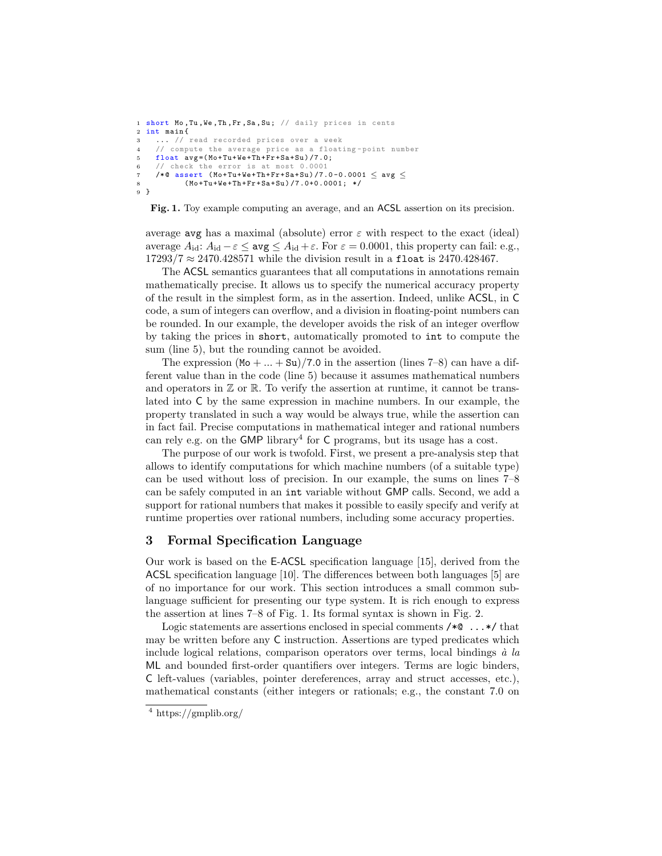```
1 short Mo, Tu, We, Th, Fr, Sa, Su; // daily prices in cents
2 int main {
3 ... // read recorded prices over a week
4 // compute the average price as a floating-point number<br>5   float avg=(Mo+Tu+We+Th+Fr+Sa+Su)/7.0;
6 // check the error is at most 0.0001
7 /*@ assert (Mo+Tu+We+Th+Fr+Sa+Su) / 7.0 - 0.0001 \le avg \le8 ( Mo + Tu + We + Th + Fr + Sa + Su ) /7.0+0.0001; */
9 }
```
Fig. 1. Toy example computing an average, and an ACSL assertion on its precision.

average avg has a maximal (absolute) error  $\varepsilon$  with respect to the exact (ideal) average  $A_{\rm id}$ :  $A_{\rm id} - \varepsilon \le \text{avg} \le A_{\rm id} + \varepsilon$ . For  $\varepsilon = 0.0001$ , this property can fail: e.g.,  $17293/7 \approx 2470.428571$  while the division result in a float is 2470.428467.

The ACSL semantics guarantees that all computations in annotations remain mathematically precise. It allows us to specify the numerical accuracy property of the result in the simplest form, as in the assertion. Indeed, unlike ACSL, in C code, a sum of integers can overflow, and a division in floating-point numbers can be rounded. In our example, the developer avoids the risk of an integer overflow by taking the prices in short, automatically promoted to int to compute the sum (line 5), but the rounding cannot be avoided.

The expression  $(Mo + ... + Su)/7.0$  in the assertion (lines 7–8) can have a different value than in the code (line 5) because it assumes mathematical numbers and operators in  $\mathbb Z$  or  $\mathbb R$ . To verify the assertion at runtime, it cannot be translated into C by the same expression in machine numbers. In our example, the property translated in such a way would be always true, while the assertion can in fact fail. Precise computations in mathematical integer and rational numbers can rely e.g. on the GMP library<sup>4</sup> for  $C$  programs, but its usage has a cost.

The purpose of our work is twofold. First, we present a pre-analysis step that allows to identify computations for which machine numbers (of a suitable type) can be used without loss of precision. In our example, the sums on lines 7–8 can be safely computed in an int variable without GMP calls. Second, we add a support for rational numbers that makes it possible to easily specify and verify at runtime properties over rational numbers, including some accuracy properties.

## 3 Formal Specification Language

Our work is based on the E-ACSL specification language [15], derived from the ACSL specification language [10]. The differences between both languages [5] are of no importance for our work. This section introduces a small common sublanguage sufficient for presenting our type system. It is rich enough to express the assertion at lines 7–8 of Fig. 1. Its formal syntax is shown in Fig. 2.

Logic statements are assertions enclosed in special comments /\*@ ...\*/ that may be written before any C instruction. Assertions are typed predicates which include logical relations, comparison operators over terms, local bindings  $\dot{a}$  la ML and bounded first-order quantifiers over integers. Terms are logic binders, C left-values (variables, pointer dereferences, array and struct accesses, etc.), mathematical constants (either integers or rationals; e.g., the constant 7.0 on

 $4$  https://gmplib.org/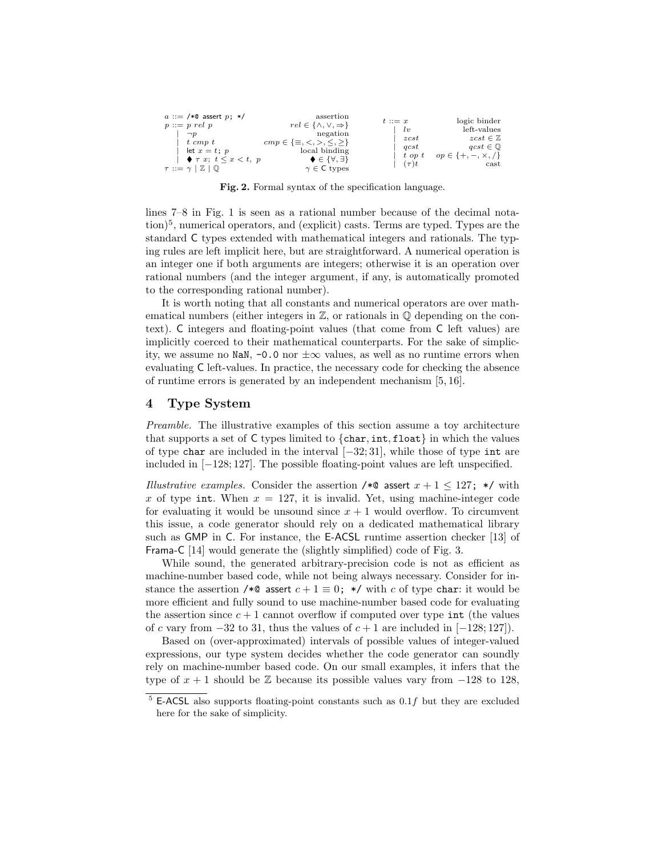| $a ::=$ /*0 assert p; */                          | assertion                               | $t ::= x$      | logic binder                  |
|---------------------------------------------------|-----------------------------------------|----------------|-------------------------------|
| $p ::= p rel p$                                   | $rel \in \{\wedge, \vee, \Rightarrow\}$ |                |                               |
| $\neg n$                                          | negation                                | $\iota$        | left-values                   |
|                                                   |                                         | $z$ <i>cst</i> | $z c s t \in \mathbb{Z}$      |
| $t \; cmp \; t$                                   | $cmp \in \{\equiv, <, >, \leq, \geq\}$  | gcst           | $qcst \in \mathbb{O}$         |
| let $x=t$ ; p                                     | local binding                           |                |                               |
| $\qquad \blacklozenge \tau x; t \leq x \leq t, p$ | $\blacklozenge \in {\forall, \exists}$  | $t$ op $t$     | $op \in \{+, -, \times, / \}$ |
|                                                   |                                         | $(\tau)t$      | cast                          |
| $\tau ::= \gamma \mid \mathbb{Z} \mid \mathbb{Q}$ | $\gamma \in \mathsf{C}$ types           |                |                               |

Fig. 2. Formal syntax of the specification language.

lines 7–8 in Fig. 1 is seen as a rational number because of the decimal notation)<sup>5</sup> , numerical operators, and (explicit) casts. Terms are typed. Types are the standard C types extended with mathematical integers and rationals. The typing rules are left implicit here, but are straightforward. A numerical operation is an integer one if both arguments are integers; otherwise it is an operation over rational numbers (and the integer argument, if any, is automatically promoted to the corresponding rational number).

It is worth noting that all constants and numerical operators are over mathematical numbers (either integers in  $\mathbb{Z}$ , or rationals in  $\mathbb{Q}$  depending on the context). C integers and floating-point values (that come from C left values) are implicitly coerced to their mathematical counterparts. For the sake of simplicity, we assume no NaN,  $-0.0$  nor  $\pm \infty$  values, as well as no runtime errors when evaluating C left-values. In practice, the necessary code for checking the absence of runtime errors is generated by an independent mechanism [5, 16].

## 4 Type System

Preamble. The illustrative examples of this section assume a toy architecture that supports a set of  $C$  types limited to  $\{char, int, float\}$  in which the values of type char are included in the interval [−32; 31], while those of type int are included in [−128; 127]. The possible floating-point values are left unspecified.

Illustrative examples. Consider the assertion  $/*$  assert  $x + 1 \le 127$ ; \*/ with x of type int. When  $x = 127$ , it is invalid. Yet, using machine-integer code for evaluating it would be unsound since  $x + 1$  would overflow. To circumvent this issue, a code generator should rely on a dedicated mathematical library such as GMP in C. For instance, the E-ACSL runtime assertion checker [13] of Frama-C [14] would generate the (slightly simplified) code of Fig. 3.

While sound, the generated arbitrary-precision code is not as efficient as machine-number based code, while not being always necessary. Consider for instance the assertion /\*@ assert  $c + 1 \equiv 0$ ; \*/ with c of type char: it would be more efficient and fully sound to use machine-number based code for evaluating the assertion since  $c + 1$  cannot overflow if computed over type int (the values of c vary from  $-32$  to 31, thus the values of  $c + 1$  are included in  $[-128; 127]$ .

Based on (over-approximated) intervals of possible values of integer-valued expressions, our type system decides whether the code generator can soundly rely on machine-number based code. On our small examples, it infers that the type of  $x + 1$  should be  $\mathbb Z$  because its possible values vary from  $-128$  to 128,

 $5$  E-ACSL also supports floating-point constants such as  $0.1f$  but they are excluded here for the sake of simplicity.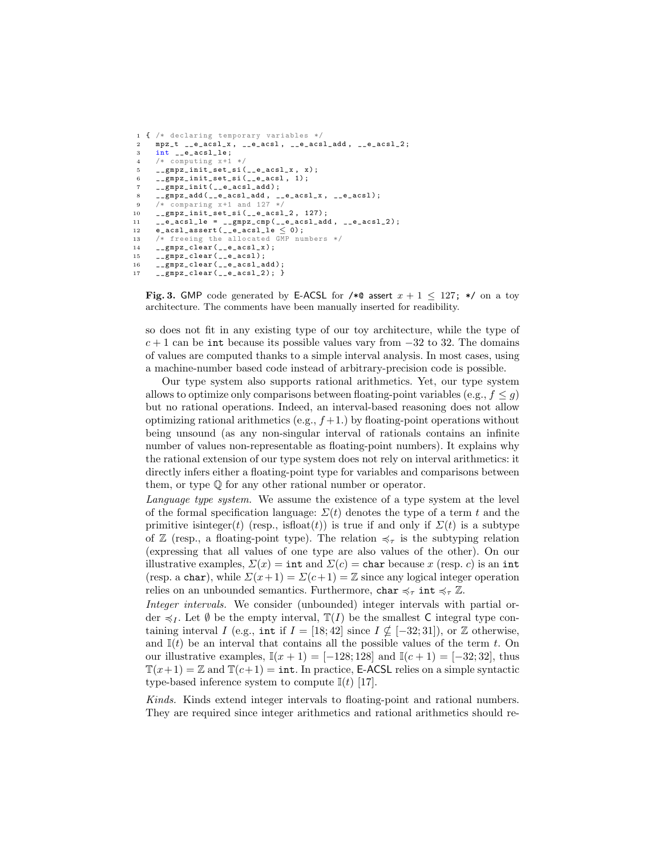```
1 { /* declaring temporary variables */
 2 mpz_t __e_acsl_x, __e_acsl, __e_acsl_add, __e_acsl_2;
 3 int __e_acsl_le ;
 4 /* computing x+1 */<br>5 empz init set si
        \texttt{__gmpz}\_init_set_si (\texttt{__e}\_acsl_x, x);
 6 \qquad \qquad \verb| = gmpz_init_set_isi ( \verb| |=e_acs1, 1) ;7 __gmpz_init ( __e_acsl_add );
  8 __gmpz_add ( __e_acsl_add , __e_acsl_x , __e_acsl );
9 /* comparing x+1 and 127 */
10 \qquad \qquad \mathtt{\_empz\_init\_set\_si}\,(\mathtt{\_ee\_as1\_2\, ,\, 127});\verb|11 --e_acs1_le = \verb|...gmpzcmp([_,e_acs1_add, \verb|...e_acs1_2);12 e_{\texttt{a} \text{cs1}_{\text{a}} \text{as} \text{sort}(\text{1}_{\text{a} \text{cs1}_{\text{a}} \text{le} 0);
13 /* freeing the allocated GMP numbers */
14 __gmpz_clear (__e_acsl_x);
15 \frac{1}{2} \frac{1}{2} \frac{1}{2} \frac{1}{2} \frac{1}{2} \frac{1}{2} \frac{1}{2} \frac{1}{2} \frac{1}{2} \frac{1}{2} \frac{1}{2} \frac{1}{2} \frac{1}{2} \frac{1}{2} \frac{1}{2} \frac{1}{2} \frac{1}{2} \frac{1}{2} \frac{1}{2} \frac{1}{2} \frac{1}{2} \frac{1}{2}__gmpz_clear (__e_acsl_add);
17 __gmpz_clear ( __e_acsl_2 ); }
```
Fig. 3. GMP code generated by E-ACSL for  $/*$  assert  $x + 1 \le 127$ ; \*/ on a toy architecture. The comments have been manually inserted for readibility.

so does not fit in any existing type of our toy architecture, while the type of  $c + 1$  can be int because its possible values vary from  $-32$  to 32. The domains of values are computed thanks to a simple interval analysis. In most cases, using a machine-number based code instead of arbitrary-precision code is possible.

Our type system also supports rational arithmetics. Yet, our type system allows to optimize only comparisons between floating-point variables (e.g.,  $f \leq q$ ) but no rational operations. Indeed, an interval-based reasoning does not allow optimizing rational arithmetics (e.g.,  $f+1$ .) by floating-point operations without being unsound (as any non-singular interval of rationals contains an infinite number of values non-representable as floating-point numbers). It explains why the rational extension of our type system does not rely on interval arithmetics: it directly infers either a floating-point type for variables and comparisons between them, or type Q for any other rational number or operator.

Language type system. We assume the existence of a type system at the level of the formal specification language:  $\Sigma(t)$  denotes the type of a term t and the primitive isinteger(t) (resp., isfloat(t)) is true if and only if  $\Sigma(t)$  is a subtype of Z (resp., a floating-point type). The relation  $\preccurlyeq_{\tau}$  is the subtyping relation (expressing that all values of one type are also values of the other). On our illustrative examples,  $\Sigma(x) = \text{int}$  and  $\Sigma(c) = \text{char}$  because x (resp. c) is an int (resp. a char), while  $\Sigma(x+1) = \Sigma(c+1) = \mathbb{Z}$  since any logical integer operation relies on an unbounded semantics. Furthermore, char  $\preccurlyeq_{\tau}$  int  $\preccurlyeq_{\tau} \mathbb{Z}$ .

Integer intervals. We consider (unbounded) integer intervals with partial order  $\preccurlyeq_L$ . Let  $\emptyset$  be the empty interval,  $\mathbb{T}(I)$  be the smallest C integral type containing interval I (e.g., int if  $I = [18; 42]$  since  $I \nsubseteq [-32; 31]$ ), or Z otherwise, and  $\mathbb{I}(t)$  be an interval that contains all the possible values of the term t. On our illustrative examples,  $\mathbb{I}(x + 1) = [-128; 128]$  and  $\mathbb{I}(c + 1) = [-32; 32]$ , thus  $\mathbb{T}(x+1) = \mathbb{Z}$  and  $\mathbb{T}(c+1) = \text{int.}$  In practice, **E-ACSL** relies on a simple syntactic type-based inference system to compute  $\mathbb{I}(t)$  [17].

Kinds. Kinds extend integer intervals to floating-point and rational numbers. They are required since integer arithmetics and rational arithmetics should re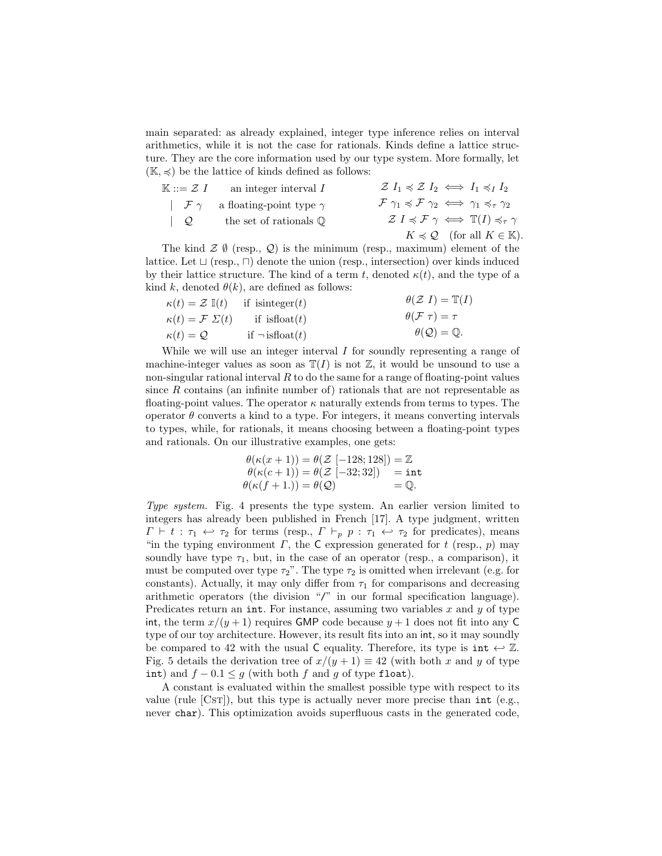main separated: as already explained, integer type inference relies on interval arithmetics, while it is not the case for rationals. Kinds define a lattice structure. They are the core information used by our type system. More formally, let  $(\mathbb{K}, \preccurlyeq)$  be the lattice of kinds defined as follows:

| $\mathbb{K} ::= \mathcal{Z} I$                                                                                                                                                                                                                                                                                                                                                                                                                                                                                      | an integer interval $I$ | $\mathcal{Z} I_1 \preccurlyeq \mathcal{Z} I_2 \iff I_1 \preccurlyeq_I I_2$ |
|---------------------------------------------------------------------------------------------------------------------------------------------------------------------------------------------------------------------------------------------------------------------------------------------------------------------------------------------------------------------------------------------------------------------------------------------------------------------------------------------------------------------|-------------------------|----------------------------------------------------------------------------|
| $\begin{array}{ccc}\n & \mathcal{Z} I_1 \preccurlyeq \mathcal{Z} I_2 \iff I_1 \preccurlyeq_I I_2 \\  & \mathcal{F} \gamma_1 \preccurlyeq \mathcal{F} \gamma_2 \iff \gamma_1 \preccurlyeq_{\tau} \gamma_2 \\  & \mathcal{Z} I \preccurlyeq \mathcal{F} \gamma \iff \mathbb{T}(I) \preccurlyeq_{\tau} \gamma \\  & \mathcal{Z} I \preccurlyeq \mathcal{F} \gamma \iff \mathbb{T}(I) \preccurlyeq_{\tau} \gamma \\  & \mathcal{K} \preccurlyeq \mathcal{Q} \quad \text{(for all } K \in \mathbb{K}).\n \end{array}$ \n |                         |                                                                            |

The kind  $\mathcal{Z}$   $\emptyset$  (resp.,  $\mathcal{Q}$ ) is the minimum (resp., maximum) element of the lattice. Let  $\sqcup$  (resp.,  $\sqcap$ ) denote the union (resp., intersection) over kinds induced by their lattice structure. The kind of a term t, denoted  $\kappa(t)$ , and the type of a kind k, denoted  $\theta(k)$ , are defined as follows:

$$
\kappa(t) = \mathcal{Z} \mathbb{I}(t) \quad \text{if } \text{isinteger}(t) \qquad \qquad \theta(\mathcal{Z} \ I) = \mathbb{T}(I) \n\kappa(t) = \mathcal{F} \ \Sigma(t) \quad \text{if } \text{isfloat}(t) \qquad \qquad \theta(\mathcal{F} \ \tau) = \tau \n\kappa(t) = \mathcal{Q} \quad \text{if } \neg \text{isfloat}(t) \qquad \qquad \theta(\mathcal{Q}) = \mathbb{Q}.
$$

While we will use an integer interval  $I$  for soundly representing a range of machine-integer values as soon as  $\mathbb{T}(I)$  is not Z, it would be unsound to use a non-singular rational interval  $R$  to do the same for a range of floating-point values since  $R$  contains (an infinite number of) rationals that are not representable as floating-point values. The operator  $\kappa$  naturally extends from terms to types. The operator  $\theta$  converts a kind to a type. For integers, it means converting intervals to types, while, for rationals, it means choosing between a floating-point types and rationals. On our illustrative examples, one gets:

$$
\begin{array}{l} \theta(\kappa(x+1)) = \theta(\mathcal{Z} [-128; 128]) = \mathbb{Z} \\ \theta(\kappa(c+1)) = \theta(\mathcal{Z} [-32; 32]) = \text{int} \\ \theta(\kappa(f+1.)) = \theta(\mathcal{Q}) = \mathbb{Q}. \end{array}
$$

Type system. Fig. 4 presents the type system. An earlier version limited to integers has already been published in French [17]. A type judgment, written  $\Gamma \vdash t : \tau_1 \leftrightarrow \tau_2$  for terms (resp.,  $\Gamma \vdash_p p : \tau_1 \leftrightarrow \tau_2$  for predicates), means "in the typing environment  $\Gamma$ , the C expression generated for t (resp., p) may soundly have type  $\tau_1$ , but, in the case of an operator (resp., a comparison), it must be computed over type  $\tau_2$ ". The type  $\tau_2$  is omitted when irrelevant (e.g. for constants). Actually, it may only differ from  $\tau_1$  for comparisons and decreasing arithmetic operators (the division "/" in our formal specification language). Predicates return an int. For instance, assuming two variables  $x$  and  $y$  of type int, the term  $x/(y+1)$  requires GMP code because  $y+1$  does not fit into any C type of our toy architecture. However, its result fits into an int, so it may soundly be compared to 42 with the usual C equality. Therefore, its type is  $int \leftarrow \mathbb{Z}$ . Fig. 5 details the derivation tree of  $x/(y+1) \equiv 42$  (with both x and y of type int) and  $f - 0.1 \leq g$  (with both f and g of type float).

A constant is evaluated within the smallest possible type with respect to its value (rule [Cst]), but this type is actually never more precise than int (e.g., never char). This optimization avoids superfluous casts in the generated code,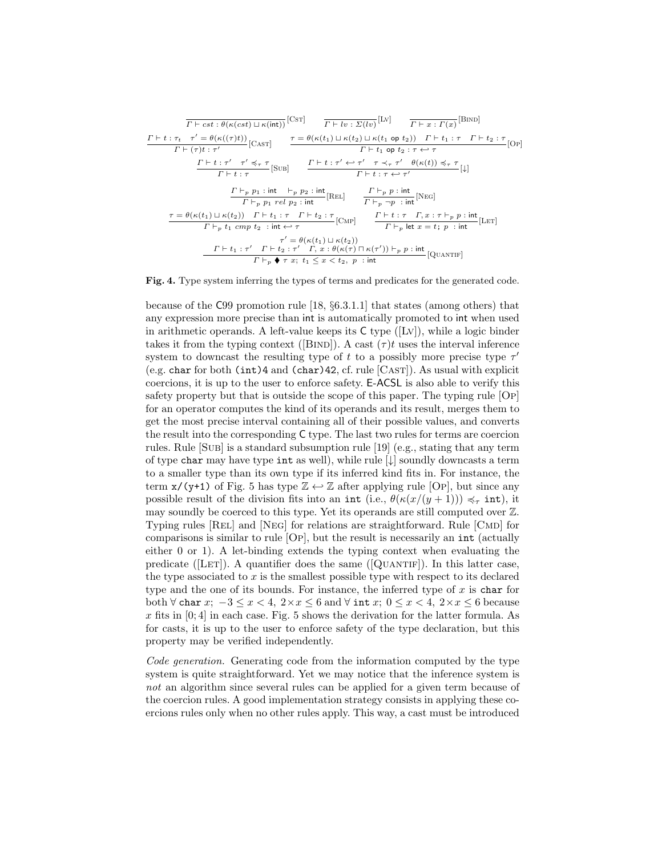$$
\frac{\Gamma \vdash \mathit{cst} : \theta(\kappa(\mathit{cst}) \sqcup \kappa(\mathit{int}))}{\Gamma \vdash t : \tau_t \quad \tau' = \theta(\kappa((\tau)t))} [\text{Casr}] \quad \frac{\tau = \theta(\kappa(t_1) \sqcup \kappa(t_2) \sqcup \kappa(t_1 \text{ op } t_2))}{\Gamma \vdash t_1 \text{ op } t_2 : \tau \leftrightarrow \tau} \frac{\Gamma \vdash t : \tau' \quad \tau' \preceq_{\tau} \tau}{\Gamma \vdash t : \tau'} [\text{Op}]
$$
\n
$$
\frac{\Gamma \vdash t : \tau' \quad \tau' \preceq_{\tau} \tau}{\Gamma \vdash t : \tau} [\text{SUB}] \quad \frac{\Gamma \vdash t : \tau' \leftrightarrow \tau' \quad \tau \prec_{\tau} \tau' \quad \theta(\kappa(t)) \preceq_{\tau} \tau}{\Gamma \vdash t : \tau \leftrightarrow \tau'} [\downarrow]
$$
\n
$$
\frac{\Gamma \vdash_{p} p_1 : \text{int} \quad \vdash_{p} p_2 : \text{int}}{\Gamma \vdash_{p} p_1 \text{ rel } p_2 : \text{int}} [\text{REL}] \quad \frac{\Gamma \vdash_{p} p : \text{int}}{\Gamma \vdash_{p} \neg p : \text{int}} [\text{NEG}]}
$$
\n
$$
\frac{\tau = \theta(\kappa(t_1) \sqcup \kappa(t_2)) \quad \Gamma \vdash t : \tau \quad \Gamma \vdash t_2 : \tau}{\Gamma \vdash_{p} t_1 \text{ cmp } t_2 : \text{int} \leftrightarrow \tau} [\text{CMP}] \quad \frac{\Gamma \vdash t : \tau \quad \Gamma, x : \tau \vdash_{p} p : \text{int}}{\Gamma \vdash_{p} \text{let } x = t; p : \text{int}} [\text{LET}]
$$
\n
$$
\frac{\tau' = \theta(\kappa(t_1) \sqcup \kappa(t_2))}{\Gamma \vdash t : \tau' \quad \Gamma \vdash t_2 : \tau' \quad \Gamma, x : \theta(\kappa(\tau) \sqcap \kappa(\tau')) \vdash_{p} p : \text{int}} [\text{QuanTIF}]
$$

Fig. 4. Type system inferring the types of terms and predicates for the generated code.

because of the C99 promotion rule [18, §6.3.1.1] that states (among others) that any expression more precise than int is automatically promoted to int when used in arithmetic operands. A left-value keeps its  $C$  type  $([LV])$ , while a logic binder takes it from the typing context ([BIND]). A cast  $(\tau)t$  uses the interval inference system to downcast the resulting type of t to a possibly more precise type  $\tau'$ (e.g. char for both (int)4 and (char)42, cf. rule [Cast]). As usual with explicit coercions, it is up to the user to enforce safety. E-ACSL is also able to verify this safety property but that is outside the scope of this paper. The typing rule [Op] for an operator computes the kind of its operands and its result, merges them to get the most precise interval containing all of their possible values, and converts the result into the corresponding C type. The last two rules for terms are coercion rules. Rule [Sub] is a standard subsumption rule [19] (e.g., stating that any term of type char may have type int as well), while rule  $[\downarrow]$  soundly downcasts a term to a smaller type than its own type if its inferred kind fits in. For instance, the term  $x/(y+1)$  of Fig. 5 has type  $\mathbb{Z} \leftrightarrow \mathbb{Z}$  after applying rule [OP], but since any possible result of the division fits into an int (i.e.,  $\theta(\kappa(x/(y+1))) \preccurlyeq_{\tau} \text{int}$ ), it may soundly be coerced to this type. Yet its operands are still computed over Z. Typing rules [REL] and [NEG] for relations are straightforward. Rule [CMD] for comparisons is similar to rule [Op], but the result is necessarily an int (actually either 0 or 1). A let-binding extends the typing context when evaluating the predicate ([LET]). A quantifier does the same ([QUANTIF]). In this latter case, the type associated to  $x$  is the smallest possible type with respect to its declared type and the one of its bounds. For instance, the inferred type of  $x$  is char for both  $\forall$  char x;  $-3 \le x < 4$ ,  $2 \times x \le 6$  and  $\forall$  int x;  $0 \le x < 4$ ,  $2 \times x \le 6$  because x fits in  $[0, 4]$  in each case. Fig. 5 shows the derivation for the latter formula. As for casts, it is up to the user to enforce safety of the type declaration, but this property may be verified independently.

Code generation. Generating code from the information computed by the type system is quite straightforward. Yet we may notice that the inference system is not an algorithm since several rules can be applied for a given term because of the coercion rules. A good implementation strategy consists in applying these coercions rules only when no other rules apply. This way, a cast must be introduced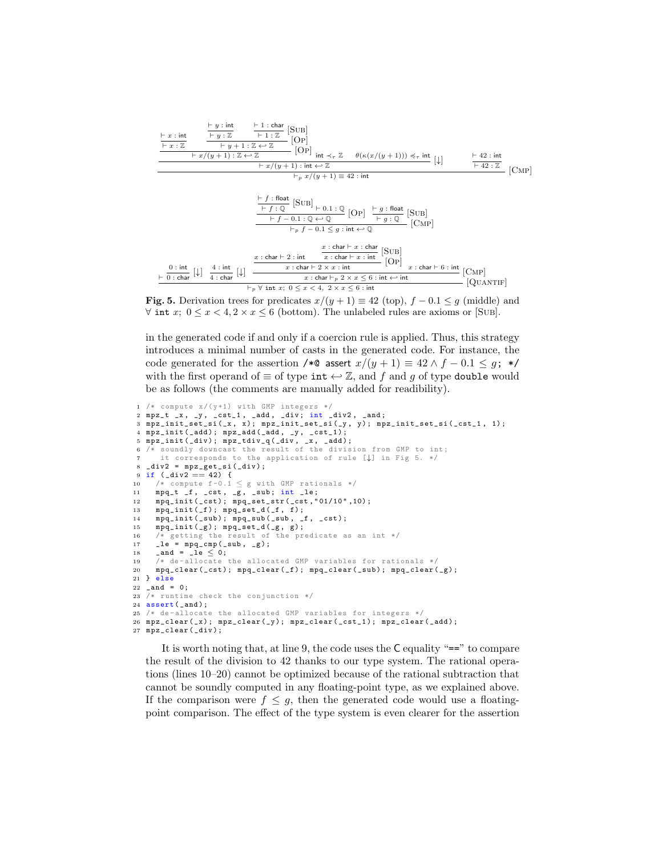

**Fig. 5.** Derivation trees for predicates  $x/(y + 1) \equiv 42$  (top),  $f - 0.1 \leq g$  (middle) and  $\forall$  int x; 0 ≤ x < 4, 2 × x ≤ 6 (bottom). The unlabeled rules are axioms or [Sub].

in the generated code if and only if a coercion rule is applied. Thus, this strategy introduces a minimal number of casts in the generated code. For instance, the code generated for the assertion /\*@ assert  $x/(y + 1) \equiv 42 \wedge f - 0.1 \leq g$ ; \*/ with the first operand of  $\equiv$  of type int  $\leftarrow \mathbb{Z}$ , and f and g of type double would be as follows (the comments are manually added for readibility).

```
1 /* compute x/(y+1) with GMP integers */
 2 mpz_t _x , _y , _cst_1 , _add , _div ; int _div2 , _and ;
3 mpz_init_set_si (_x , x) ; mpz_init_set_si (_y , y) ; mpz_init_set_si ( _cst_1 , 1) ;
 4 mpz_init (_add); mpz_add (_add, _y, _cst_1);
 5 mpz_init ( _div ); mpz_tdiv_q ( _div , _x , _add );
6 /* soundly downcast the result of the division from GMP to int ;
 7 it corresponds to the application of rule [↓] in Fig 5. */
 8 _{\texttt{div2}} = _{\texttt{mpz\_get\_si}(\_div)};
9 if ( div2 == 42) {
10 /* compute f-0.1 \leq g with GMP rationals */<br>11 mng t f cst \sigma sub int le:
       mpq_t \_f , \_cst , \_g , \_sub ; \mathbf{int} \_le ;
12 mpq_init (_cst); mpq_set_str (_cst, "01/10", 10);
13 mpq_init(_f); mpq_set_d(_f, f);<br>14 mpg_init( sub): mpg_sub( sub, j
       mpq\_init( _sub); mpq\_sub( _sub, _f, _cst);15 mpq_init (_g); mpq_set_d (_g, g);<br>16 /* getting the result of the pr
            getting the result of the predicate as an int */17 \qquad \qquad \qquad \qquad \qquad \qquad \qquad \qquad \qquad \qquad \qquad \qquad \qquad \qquad \qquad \qquad \qquad \qquad \qquad \qquad \qquad \qquad \qquad \qquad \qquad \qquad \qquad \qquad \qquad \qquad \qquad \qquad \qquad \qquad \qquad \qquad \18 \begin{array}{r} \text{and} = \text{le} \leq 0; \\ 19 \end{array}<br>19 /* de-allocate
       /* de-allocate the allocated GMP variables for rationals */20 mpq_clear ( _cst ); mpq_clear ( _f ); mpq_clear ( _sub ); mpq_clear ( _g );
21 } else
22 _{-} and = 0;
23 /* runtime check the conjunction */
24 assert (_and);
25 /* de-allocate the allocated GMP variables for integers */
26 mpz_clear ( _x ); mpz_clear ( _y ); mpz_clear ( _cst_1 ); mpz_clear ( _add );
27 mpz_clear ( _div );
```
It is worth noting that, at line 9, the code uses the C equality "==" to compare the result of the division to 42 thanks to our type system. The rational operations (lines 10–20) cannot be optimized because of the rational subtraction that cannot be soundly computed in any floating-point type, as we explained above. If the comparison were  $f \leq g$ , then the generated code would use a floatingpoint comparison. The effect of the type system is even clearer for the assertion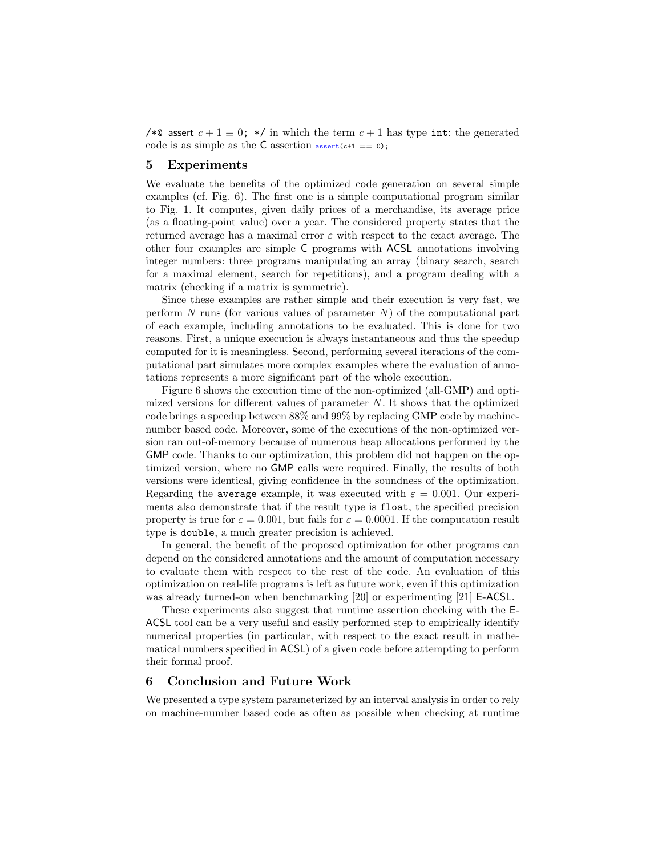/\*© assert  $c + 1 \equiv 0$ ; \*/ in which the term  $c + 1$  has type int: the generated code is as simple as the C assertion  $\frac{assert(c+1)}{= 0}$ ;

### 5 Experiments

We evaluate the benefits of the optimized code generation on several simple examples (cf. Fig. 6). The first one is a simple computational program similar to Fig. 1. It computes, given daily prices of a merchandise, its average price (as a floating-point value) over a year. The considered property states that the returned average has a maximal error  $\varepsilon$  with respect to the exact average. The other four examples are simple C programs with ACSL annotations involving integer numbers: three programs manipulating an array (binary search, search for a maximal element, search for repetitions), and a program dealing with a matrix (checking if a matrix is symmetric).

Since these examples are rather simple and their execution is very fast, we perform  $N$  runs (for various values of parameter  $N$ ) of the computational part of each example, including annotations to be evaluated. This is done for two reasons. First, a unique execution is always instantaneous and thus the speedup computed for it is meaningless. Second, performing several iterations of the computational part simulates more complex examples where the evaluation of annotations represents a more significant part of the whole execution.

Figure 6 shows the execution time of the non-optimized (all-GMP) and optimized versions for different values of parameter  $N$ . It shows that the optimized code brings a speedup between 88% and 99% by replacing GMP code by machinenumber based code. Moreover, some of the executions of the non-optimized version ran out-of-memory because of numerous heap allocations performed by the GMP code. Thanks to our optimization, this problem did not happen on the optimized version, where no GMP calls were required. Finally, the results of both versions were identical, giving confidence in the soundness of the optimization. Regarding the average example, it was executed with  $\varepsilon = 0.001$ . Our experiments also demonstrate that if the result type is float, the specified precision property is true for  $\varepsilon = 0.001$ , but fails for  $\varepsilon = 0.0001$ . If the computation result type is double, a much greater precision is achieved.

In general, the benefit of the proposed optimization for other programs can depend on the considered annotations and the amount of computation necessary to evaluate them with respect to the rest of the code. An evaluation of this optimization on real-life programs is left as future work, even if this optimization was already turned-on when benchmarking [20] or experimenting [21] E-ACSL.

These experiments also suggest that runtime assertion checking with the E-ACSL tool can be a very useful and easily performed step to empirically identify numerical properties (in particular, with respect to the exact result in mathematical numbers specified in ACSL) of a given code before attempting to perform their formal proof.

#### 6 Conclusion and Future Work

We presented a type system parameterized by an interval analysis in order to rely on machine-number based code as often as possible when checking at runtime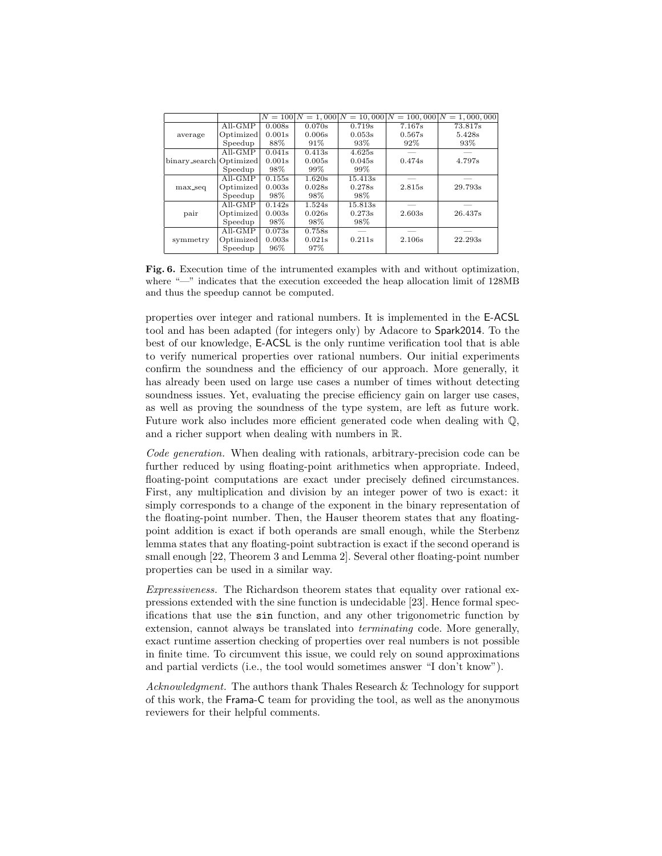|                         |           |        |        | $N = 100 N = 1,000 N = 10,000 N$ |        | $= 100,000 \vert N = 1,000,000 \vert$ |
|-------------------------|-----------|--------|--------|----------------------------------|--------|---------------------------------------|
| average                 | $All-GMP$ | 0.008s | 0.070s | 0.719s                           | 7.167s | 73.817s                               |
|                         | Optimized | 0.001s | 0.006s | 0.053s                           | 0.567s | 5.428s                                |
|                         | Speedup   | 88%    | 91%    | 93%                              | 92%    | 93%                                   |
| binary_search Optimized | $All-GMP$ | 0.041s | 0.413s | 4.625s                           |        |                                       |
|                         |           | 0.001s | 0.005s | 0.045s                           | 0.474s | 4.797s                                |
|                         | Speedup   | 98%    | 99%    | 99%                              |        |                                       |
| max_seq                 | $All-GMP$ | 0.155s | 1.620s | 15.413s                          |        |                                       |
|                         | Optimized | 0.003s | 0.028s | 0.278s                           | 2.815s | 29.793s                               |
|                         | Speedup   | 98%    | 98%    | 98%                              |        |                                       |
| pair                    | $All-GMP$ | 0.142s | 1.524s | 15.813s                          |        |                                       |
|                         | Optimized | 0.003s | 0.026s | 0.273s                           | 2.603s | 26.437s                               |
|                         | Speedup   | 98%    | 98%    | 98%                              |        |                                       |
| symmetry                | $All-GMP$ | 0.073s | 0.758s |                                  |        |                                       |
|                         | Optimized | 0.003s | 0.021s | 0.211s                           | 2.106s | 22.293s                               |
|                         | Speedup   | 96%    | 97%    |                                  |        |                                       |

Fig. 6. Execution time of the intrumented examples with and without optimization, where "—" indicates that the execution exceeded the heap allocation limit of 128MB and thus the speedup cannot be computed.

properties over integer and rational numbers. It is implemented in the E-ACSL tool and has been adapted (for integers only) by Adacore to Spark2014. To the best of our knowledge, E-ACSL is the only runtime verification tool that is able to verify numerical properties over rational numbers. Our initial experiments confirm the soundness and the efficiency of our approach. More generally, it has already been used on large use cases a number of times without detecting soundness issues. Yet, evaluating the precise efficiency gain on larger use cases, as well as proving the soundness of the type system, are left as future work. Future work also includes more efficient generated code when dealing with  $\mathbb{Q}$ , and a richer support when dealing with numbers in R.

Code generation. When dealing with rationals, arbitrary-precision code can be further reduced by using floating-point arithmetics when appropriate. Indeed, floating-point computations are exact under precisely defined circumstances. First, any multiplication and division by an integer power of two is exact: it simply corresponds to a change of the exponent in the binary representation of the floating-point number. Then, the Hauser theorem states that any floatingpoint addition is exact if both operands are small enough, while the Sterbenz lemma states that any floating-point subtraction is exact if the second operand is small enough [22, Theorem 3 and Lemma 2]. Several other floating-point number properties can be used in a similar way.

Expressiveness. The Richardson theorem states that equality over rational expressions extended with the sine function is undecidable [23]. Hence formal specifications that use the sin function, and any other trigonometric function by extension, cannot always be translated into terminating code. More generally, exact runtime assertion checking of properties over real numbers is not possible in finite time. To circumvent this issue, we could rely on sound approximations and partial verdicts (i.e., the tool would sometimes answer "I don't know").

Acknowledgment. The authors thank Thales Research & Technology for support of this work, the Frama-C team for providing the tool, as well as the anonymous reviewers for their helpful comments.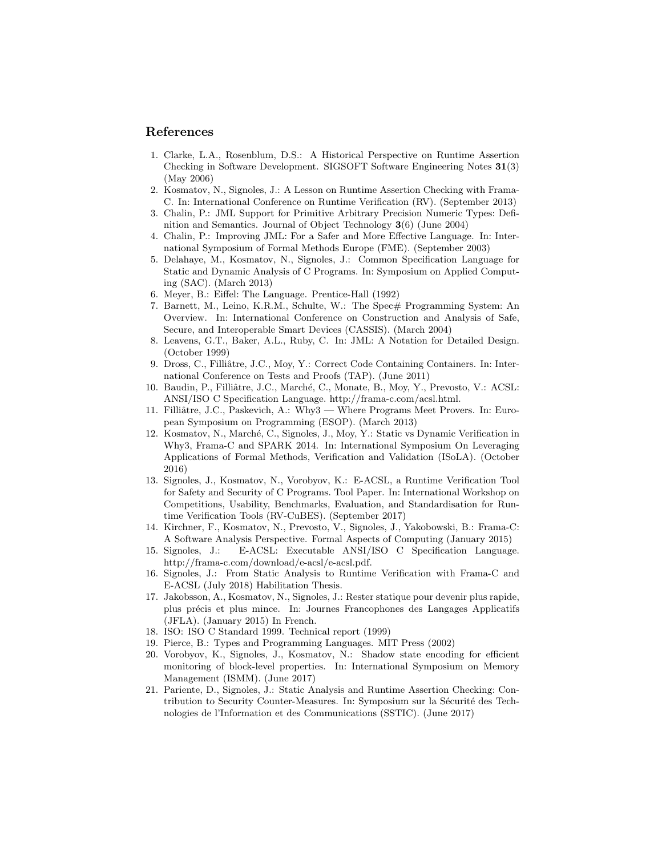#### References

- 1. Clarke, L.A., Rosenblum, D.S.: A Historical Perspective on Runtime Assertion Checking in Software Development. SIGSOFT Software Engineering Notes 31(3) (May 2006)
- 2. Kosmatov, N., Signoles, J.: A Lesson on Runtime Assertion Checking with Frama-C. In: International Conference on Runtime Verification (RV). (September 2013)
- 3. Chalin, P.: JML Support for Primitive Arbitrary Precision Numeric Types: Definition and Semantics. Journal of Object Technology 3(6) (June 2004)
- 4. Chalin, P.: Improving JML: For a Safer and More Effective Language. In: International Symposium of Formal Methods Europe (FME). (September 2003)
- 5. Delahaye, M., Kosmatov, N., Signoles, J.: Common Specification Language for Static and Dynamic Analysis of C Programs. In: Symposium on Applied Computing (SAC). (March 2013)
- 6. Meyer, B.: Eiffel: The Language. Prentice-Hall (1992)
- 7. Barnett, M., Leino, K.R.M., Schulte, W.: The Spec# Programming System: An Overview. In: International Conference on Construction and Analysis of Safe, Secure, and Interoperable Smart Devices (CASSIS). (March 2004)
- 8. Leavens, G.T., Baker, A.L., Ruby, C. In: JML: A Notation for Detailed Design. (October 1999)
- 9. Dross, C., Filliâtre, J.C., Moy, Y.: Correct Code Containing Containers. In: International Conference on Tests and Proofs (TAP). (June 2011)
- 10. Baudin, P., Filliâtre, J.C., Marché, C., Monate, B., Moy, Y., Prevosto, V.: ACSL: ANSI/ISO C Specification Language. http://frama-c.com/acsl.html.
- 11. Filliâtre, J.C., Paskevich, A.: Why3 Where Programs Meet Provers. In: European Symposium on Programming (ESOP). (March 2013)
- 12. Kosmatov, N., Marché, C., Signoles, J., Moy, Y.: Static vs Dynamic Verification in Why3, Frama-C and SPARK 2014. In: International Symposium On Leveraging Applications of Formal Methods, Verification and Validation (ISoLA). (October 2016)
- 13. Signoles, J., Kosmatov, N., Vorobyov, K.: E-ACSL, a Runtime Verification Tool for Safety and Security of C Programs. Tool Paper. In: International Workshop on Competitions, Usability, Benchmarks, Evaluation, and Standardisation for Runtime Verification Tools (RV-CuBES). (September 2017)
- 14. Kirchner, F., Kosmatov, N., Prevosto, V., Signoles, J., Yakobowski, B.: Frama-C: A Software Analysis Perspective. Formal Aspects of Computing (January 2015)
- 15. Signoles, J.: E-ACSL: Executable ANSI/ISO C Specification Language. http://frama-c.com/download/e-acsl/e-acsl.pdf.
- 16. Signoles, J.: From Static Analysis to Runtime Verification with Frama-C and E-ACSL (July 2018) Habilitation Thesis.
- 17. Jakobsson, A., Kosmatov, N., Signoles, J.: Rester statique pour devenir plus rapide, plus pr´ecis et plus mince. In: Journes Francophones des Langages Applicatifs (JFLA). (January 2015) In French.
- 18. ISO: ISO C Standard 1999. Technical report (1999)
- 19. Pierce, B.: Types and Programming Languages. MIT Press (2002)
- 20. Vorobyov, K., Signoles, J., Kosmatov, N.: Shadow state encoding for efficient monitoring of block-level properties. In: International Symposium on Memory Management (ISMM). (June 2017)
- 21. Pariente, D., Signoles, J.: Static Analysis and Runtime Assertion Checking: Contribution to Security Counter-Measures. In: Symposium sur la Sécurité des Technologies de l'Information et des Communications (SSTIC). (June 2017)